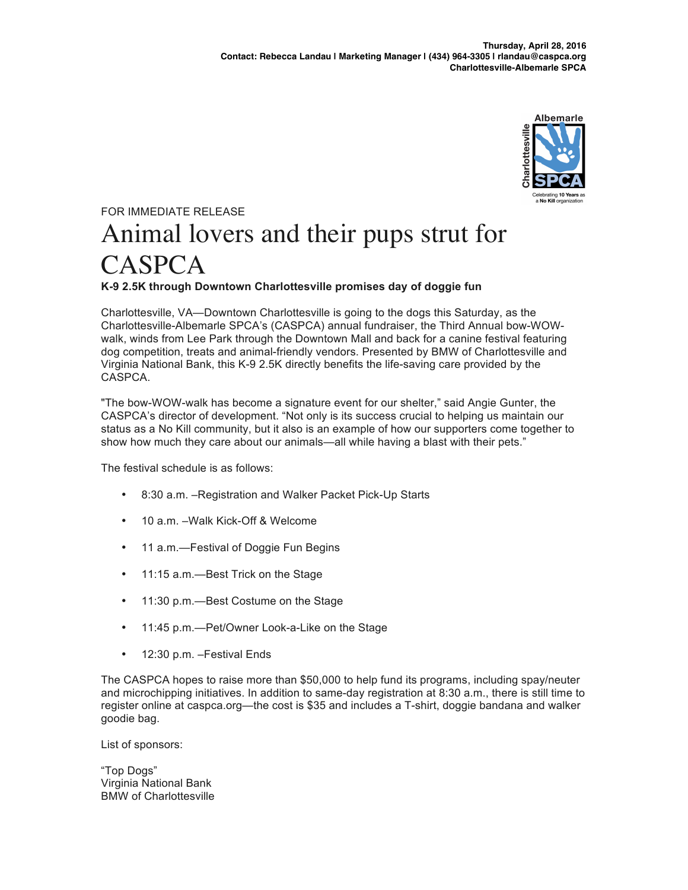

## FOR IMMEDIATE RELEASE Animal lovers and their pups strut for CASPCA **K-9 2.5K through Downtown Charlottesville promises day of doggie fun**

Charlottesville, VA—Downtown Charlottesville is going to the dogs this Saturday, as the Charlottesville-Albemarle SPCA's (CASPCA) annual fundraiser, the Third Annual bow-WOWwalk, winds from Lee Park through the Downtown Mall and back for a canine festival featuring dog competition, treats and animal-friendly vendors. Presented by BMW of Charlottesville and Virginia National Bank, this K-9 2.5K directly benefits the life-saving care provided by the CASPCA.

"The bow-WOW-walk has become a signature event for our shelter," said Angie Gunter, the CASPCA's director of development. "Not only is its success crucial to helping us maintain our status as a No Kill community, but it also is an example of how our supporters come together to show how much they care about our animals—all while having a blast with their pets."

The festival schedule is as follows:

- 8:30 a.m. –Registration and Walker Packet Pick-Up Starts
- 10 a.m. –Walk Kick-Off & Welcome
- 11 a.m.—Festival of Doggie Fun Begins
- 11:15 a.m. Best Trick on the Stage
- 11:30 p.m.—Best Costume on the Stage
- 11:45 p.m.—Pet/Owner Look-a-Like on the Stage
- 12:30 p.m. –Festival Ends

The CASPCA hopes to raise more than \$50,000 to help fund its programs, including spay/neuter and microchipping initiatives. In addition to same-day registration at 8:30 a.m., there is still time to register online at caspca.org—the cost is \$35 and includes a T-shirt, doggie bandana and walker goodie bag.

List of sponsors:

"Top Dogs" Virginia National Bank BMW of Charlottesville